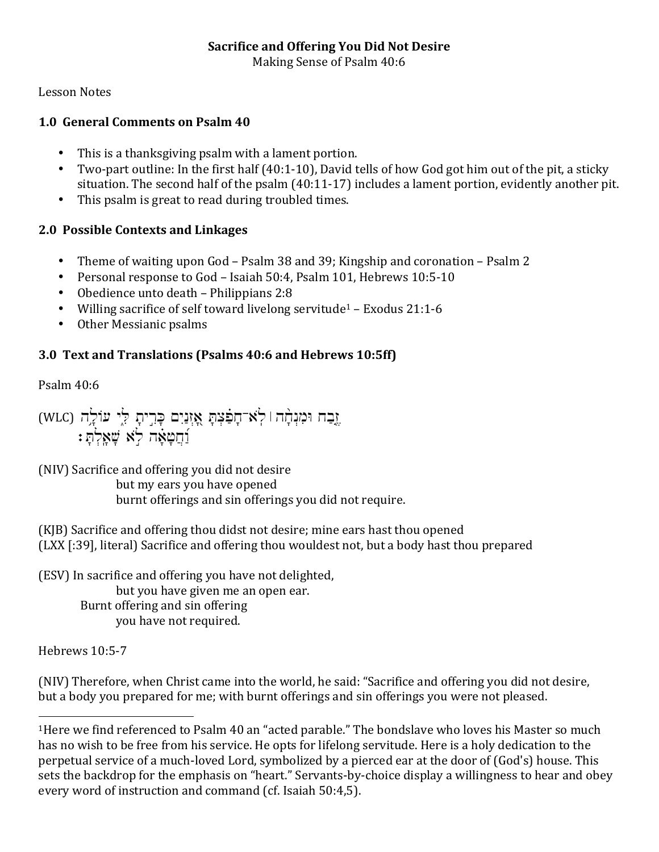#### **Sacrifice and Offering You Did Not Desire**

Making Sense of Psalm 40:6

Lesson Notes

### **1.0 General Comments on Psalm 40**

- This is a thanksgiving psalm with a lament portion.
- Two-part outline: In the first half  $(40:1-10)$ , David tells of how God got him out of the pit, a sticky situation. The second half of the  $p$ salm  $(40:11-17)$  includes a lament portion, evidently another pit.
- This psalm is great to read during troubled times.

### **2.0 Possible Contexts and Linkages**

- Theme of waiting upon God Psalm 38 and 39; Kingship and coronation Psalm 2
- Personal response to God Isaiah 50:4, Psalm 101, Hebrews 10:5-10
- Obedience unto death Philippians  $2:8$
- Willing sacrifice of self toward livelong servitude<sup>1</sup> Exodus 21:1-6
- Other Messianic psalms

## **3.0 Text and Translations (Psalms 40:6 and Hebrews 10:5ff)**

Psalm 40:6

(WLC) אֱבַח וּמִנְהָה | לְאי־חָפִֿצְתָּ אֳזְנַיִם כְּרִיתָ לְיָ עוֹלְה  $:$ דַּחֲשָׂאָה לַא שָׁאָלְתָ

(NIV) Sacrifice and offering you did not desire but my ears you have opened burnt offerings and sin offerings you did not require.

(KJB) Sacrifice and offering thou didst not desire; mine ears hast thou opened (LXX [:39], literal) Sacrifice and offering thou wouldest not, but a body hast thou prepared

(ESV) In sacrifice and offering you have not delighted, but you have given me an open ear. Burnt offering and sin offering you have not required.

Hebrews 10:5-7

 

(NIV) Therefore, when Christ came into the world, he said: "Sacrifice and offering you did not desire, but a body you prepared for me; with burnt offerings and sin offerings you were not pleased.

<sup>&</sup>lt;sup>1</sup>Here we find referenced to Psalm 40 an "acted parable." The bondslave who loves his Master so much has no wish to be free from his service. He opts for lifelong servitude. Here is a holy dedication to the perpetual service of a much-loved Lord, symbolized by a pierced ear at the door of (God's) house. This sets the backdrop for the emphasis on "heart." Servants-by-choice display a willingness to hear and obey every word of instruction and command (cf. Isaiah 50:4,5).